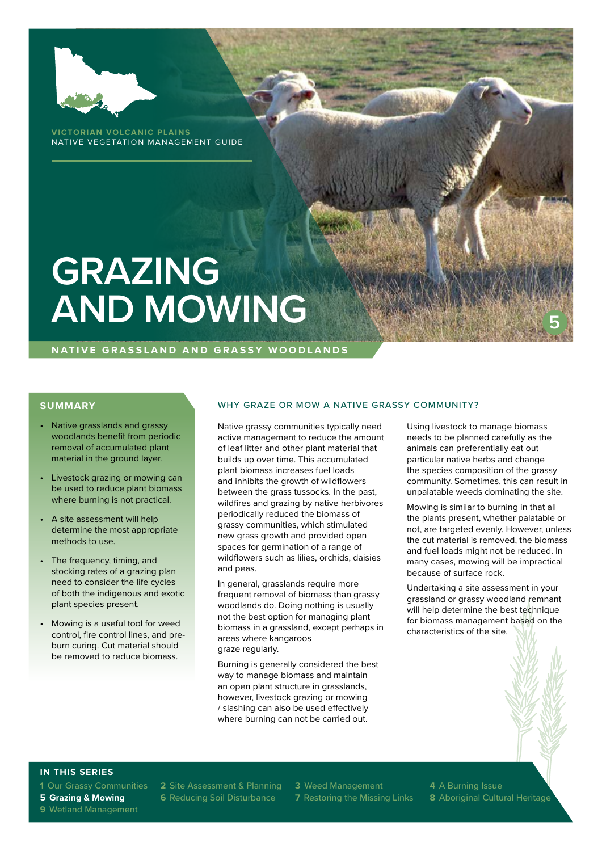

**VICTORIAN VOLCANIC PLAINS** NATIVE VEGETATION MANAGEMENT GUIDE

# **GRAZING AND MOWING**

**NATIVE GRASSLAND AND GRASSY WOODLANDS**

#### **SUMMARY**

- Native grasslands and grassy woodlands benefit from periodic removal of accumulated plant material in the ground layer.
- Livestock grazing or mowing can be used to reduce plant biomass where burning is not practical.
- A site assessment will help determine the most appropriate methods to use.
- The frequency, timing, and stocking rates of a grazing plan need to consider the life cycles of both the indigenous and exotic plant species present.
- Mowing is a useful tool for weed control, fire control lines, and preburn curing. Cut material should be removed to reduce biomass.

#### WHY GRAZE OR MOW A NATIVE GRASSY COMMUNITY?

Native grassy communities typically need active management to reduce the amount of leaf litter and other plant material that builds up over time. This accumulated plant biomass increases fuel loads and inhibits the growth of wildflowers between the grass tussocks. In the past, wildfires and grazing by native herbivores periodically reduced the biomass of grassy communities, which stimulated new grass growth and provided open spaces for germination of a range of wildflowers such as lilies, orchids, daisies and peas.

In general, grasslands require more frequent removal of biomass than grassy woodlands do. Doing nothing is usually not the best option for managing plant biomass in a grassland, except perhaps in areas where kangaroos graze regularly.

Burning is generally considered the best way to manage biomass and maintain an open plant structure in grasslands, however, livestock grazing or mowing / slashing can also be used effectively where burning can not be carried out.

Using livestock to manage biomass needs to be planned carefully as the animals can preferentially eat out particular native herbs and change the species composition of the grassy community. Sometimes, this can result in unpalatable weeds dominating the site.

**5**

Mowing is similar to burning in that all the plants present, whether palatable or not, are targeted evenly. However, unless the cut material is removed, the biomass and fuel loads might not be reduced. In many cases, mowing will be impractical because of surface rock.

Undertaking a site assessment in your grassland or grassy woodland remnant will help determine the best technique for biomass management based on the characteristics of the site.

#### **IN THIS SERIES**

**1** Our Grassy Communities **2** Site Assessment & Planning **3** Weed Management **4** A Burning Issue **5 Grazing & Mowing 6** Reducing Soil Disturbance **7** Restoring the Missing Links **8** Aboriginal Cultural Heritage

**9** Wetland Management

- 
-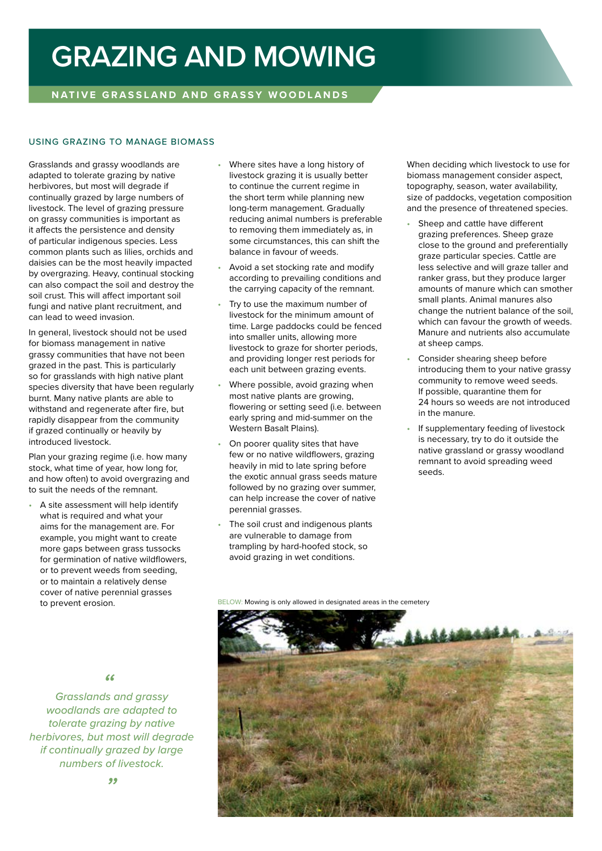### **GRAZING AND MOWING**

#### **NATIVE GRASSLAND AND GRASSY WOODLANDS**

#### USING GRAZING TO MANAGE BIOMASS

Grasslands and grassy woodlands are adapted to tolerate grazing by native herbivores, but most will degrade if continually grazed by large numbers of livestock. The level of grazing pressure on grassy communities is important as it affects the persistence and density of particular indigenous species. Less common plants such as lilies, orchids and daisies can be the most heavily impacted by overgrazing. Heavy, continual stocking can also compact the soil and destroy the soil crust. This will affect important soil fungi and native plant recruitment, and can lead to weed invasion.

In general, livestock should not be used for biomass management in native grassy communities that have not been grazed in the past. This is particularly so for grasslands with high native plant species diversity that have been regularly burnt. Many native plants are able to withstand and regenerate after fire, but rapidly disappear from the community if grazed continually or heavily by introduced livestock.

Plan your grazing regime (i.e. how many stock, what time of year, how long for, and how often) to avoid overgrazing and to suit the needs of the remnant.

• A site assessment will help identify what is required and what your aims for the management are. For example, you might want to create more gaps between grass tussocks for germination of native wildflowers, or to prevent weeds from seeding, or to maintain a relatively dense cover of native perennial grasses to prevent erosion.

- Where sites have a long history of livestock grazing it is usually better to continue the current regime in the short term while planning new long-term management. Gradually reducing animal numbers is preferable to removing them immediately as, in some circumstances, this can shift the balance in favour of weeds.
- Avoid a set stocking rate and modify according to prevailing conditions and the carrying capacity of the remnant.
- Try to use the maximum number of livestock for the minimum amount of time. Large paddocks could be fenced into smaller units, allowing more livestock to graze for shorter periods, and providing longer rest periods for each unit between grazing events.
- Where possible, avoid grazing when most native plants are growing, flowering or setting seed (i.e. between early spring and mid-summer on the Western Basalt Plains).
- On poorer quality sites that have few or no native wildflowers, grazing heavily in mid to late spring before the exotic annual grass seeds mature followed by no grazing over summer, can help increase the cover of native perennial grasses.
- The soil crust and indigenous plants are vulnerable to damage from trampling by hard-hoofed stock, so avoid grazing in wet conditions.

When deciding which livestock to use for biomass management consider aspect, topography, season, water availability, size of paddocks, vegetation composition and the presence of threatened species.

- Sheep and cattle have different grazing preferences. Sheep graze close to the ground and preferentially graze particular species. Cattle are less selective and will graze taller and ranker grass, but they produce larger amounts of manure which can smother small plants. Animal manures also change the nutrient balance of the soil, which can favour the growth of weeds. Manure and nutrients also accumulate at sheep camps.
- Consider shearing sheep before introducing them to your native grassy community to remove weed seeds. If possible, quarantine them for 24 hours so weeds are not introduced in the manure.
- If supplementary feeding of livestock is necessary, try to do it outside the native grassland or grassy woodland remnant to avoid spreading weed seeds.

BELOW: Mowing is only allowed in designated areas in the cemetery



*Grasslands and grassy " woodlands are adapted to tolerate grazing by native herbivores, but most will degrade if continually grazed by large numbers of livestock.*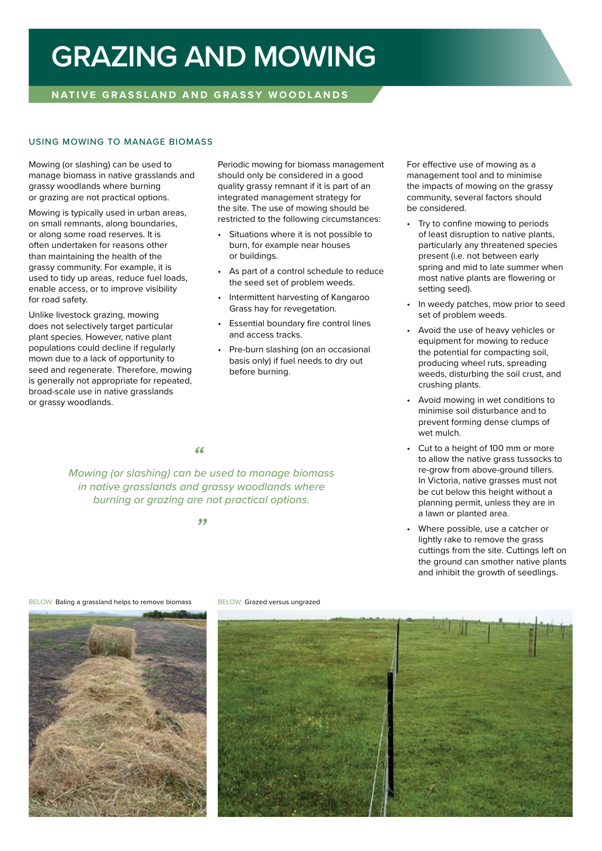### **GRAZING AND MOWING**

#### **NATIVE GRASSLAND AND GRASSY WOODLANDS**

#### USING MOWING TO MANAGE BIOMASS

Mowing (or slashing) can be used to manage biomass in native grasslands and grassy woodlands where burning or grazing are not practical options.

Mowing is typically used in urban areas, on small remnants, along boundaries, or along some road reserves. It is often undertaken for reasons other than maintaining the health of the grassy community. For example, it is used to tidy up areas, reduce fuel loads, enable access, or to improve visibility for road safety.

Unlike livestock grazing, mowing does not selectively target particular plant species. However, native plant populations could decline if regularly mown due to a lack of opportunity to seed and regenerate. Therefore, mowing is generally not appropriate for repeated, broad-scale use in native grasslands or grassy woodlands.

Periodic mowing for biomass management should only be considered in a good quality grassy remnant if it is part of an integrated management strategy for the site. The use of mowing should be restricted to the following circumstances:

- Situations where it is not possible to burn, for example near houses or buildings.
- As part of a control schedule to reduce the seed set of problem weeds.
- Intermittent harvesting of Kangaroo Grass hay for revegetation.
- Essential boundary fire control lines and access tracks.
- Pre-burn slashing (on an occasional basis only) if fuel needs to dry out before burning.

*"*

*Mowing (or slashing) can be used to manage biomass in native grasslands and grassy woodlands where burning or grazing are not practical options.* 

*"*

For effective use of mowing as a management tool and to minimise the impacts of mowing on the grassy community, several factors should be considered.

- Try to confine mowing to periods of least disruption to native plants, particularly any threatened species present (i.e. not between early spring and mid to late summer when most native plants are flowering or setting seed).
- In weedy patches, mow prior to seed set of problem weeds.
- Avoid the use of heavy vehicles or equipment for mowing to reduce the potential for compacting soil, producing wheel ruts, spreading weeds, disturbing the soil crust, and crushing plants.
- Avoid mowing in wet conditions to minimise soil disturbance and to prevent forming dense clumps of wet mulch.
- Cut to a height of 100 mm or more to allow the native grass tussocks to re-grow from above-ground tillers. In Victoria, native grasses must not be cut below this height without a planning permit, unless they are in a lawn or planted area.
- Where possible, use a catcher or lightly rake to remove the grass cuttings from the site. Cuttings left on the ground can smother native plants and inhibit the growth of seedlings.

BELOW: Baling a grassland helps to remove biomass BELOW: Grazed versus ungrazed